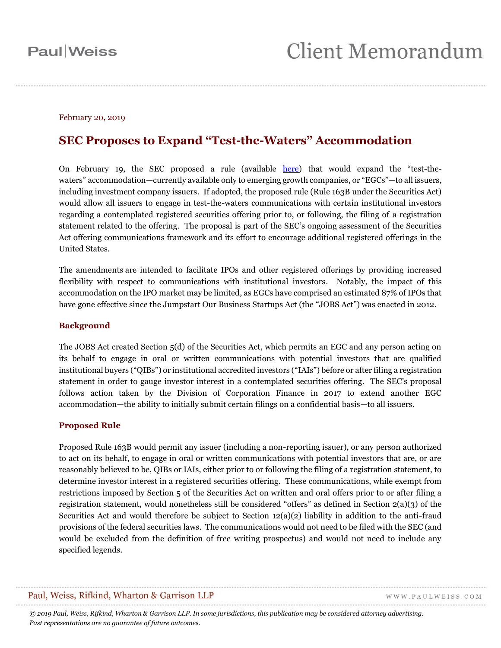#### February 20, 2019

### **SEC Proposes to Expand "Test-the-Waters" Accommodation**

On February 19, the SEC proposed a rule (available [here\)](https://www.sec.gov/rules/proposed/2019/33-10607.pdf) that would expand the "test-thewaters" accommodation—currently available only to emerging growth companies, or "EGCs"—to all issuers, including investment company issuers. If adopted, the proposed rule (Rule 163B under the Securities Act) would allow all issuers to engage in test-the-waters communications with certain institutional investors regarding a contemplated registered securities offering prior to, or following, the filing of a registration statement related to the offering. The proposal is part of the SEC's ongoing assessment of the Securities Act offering communications framework and its effort to encourage additional registered offerings in the United States.

The amendments are intended to facilitate IPOs and other registered offerings by providing increased flexibility with respect to communications with institutional investors. Notably, the impact of this accommodation on the IPO market may be limited, as EGCs have comprised an estimated 87% of IPOs that have gone effective since the Jumpstart Our Business Startups Act (the "JOBS Act") was enacted in 2012.

#### **Background**

The JOBS Act created Section 5(d) of the Securities Act, which permits an EGC and any person acting on its behalf to engage in oral or written communications with potential investors that are qualified institutional buyers ("QIBs") or institutional accredited investors ("IAIs") before or after filing a registration statement in order to gauge investor interest in a contemplated securities offering. The SEC's proposal follows action taken by the Division of Corporation Finance in 2017 to extend another EGC accommodation—the ability to initially submit certain filings on a confidential basis—to all issuers.

#### **Proposed Rule**

Proposed Rule 163B would permit any issuer (including a non-reporting issuer), or any person authorized to act on its behalf, to engage in oral or written communications with potential investors that are, or are reasonably believed to be, QIBs or IAIs, either prior to or following the filing of a registration statement, to determine investor interest in a registered securities offering. These communications, while exempt from restrictions imposed by Section 5 of the Securities Act on written and oral offers prior to or after filing a registration statement, would nonetheless still be considered "offers" as defined in Section 2(a)(3) of the Securities Act and would therefore be subject to Section 12(a)(2) liability in addition to the anti-fraud provisions of the federal securities laws. The communications would not need to be filed with the SEC (and would be excluded from the definition of free writing prospectus) and would not need to include any specified legends.

#### Paul, Weiss, Rifkind, Wharton & Garrison LLP

WWW.PAULWEISS.COM

*© 2019 Paul, Weiss, Rifkind, Wharton & Garrison LLP. In some jurisdictions, this publication may be considered attorney advertising. Past representations are no guarantee of future outcomes.*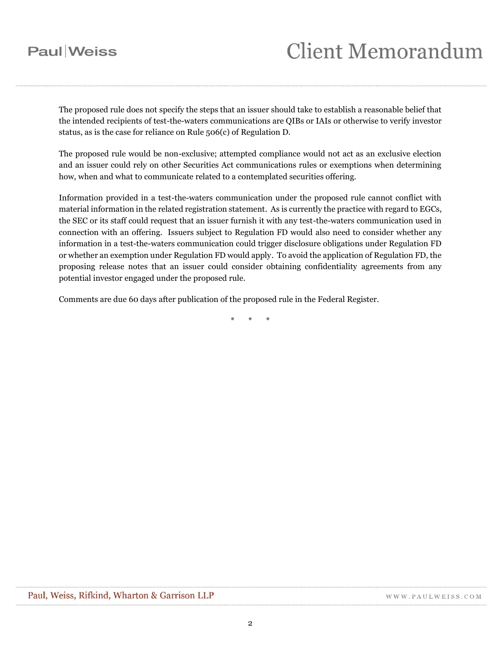## **Paul** Weiss

# **Client Memorandum**

The proposed rule does not specify the steps that an issuer should take to establish a reasonable belief that the intended recipients of test-the-waters communications are QIBs or IAIs or otherwise to verify investor status, as is the case for reliance on Rule 506(c) of Regulation D.

The proposed rule would be non-exclusive; attempted compliance would not act as an exclusive election and an issuer could rely on other Securities Act communications rules or exemptions when determining how, when and what to communicate related to a contemplated securities offering.

Information provided in a test-the-waters communication under the proposed rule cannot conflict with material information in the related registration statement. As is currently the practice with regard to EGCs, the SEC or its staff could request that an issuer furnish it with any test-the-waters communication used in connection with an offering. Issuers subject to Regulation FD would also need to consider whether any information in a test-the-waters communication could trigger disclosure obligations under Regulation FD or whether an exemption under Regulation FD would apply. To avoid the application of Regulation FD, the proposing release notes that an issuer could consider obtaining confidentiality agreements from any potential investor engaged under the proposed rule.

Comments are due 60 days after publication of the proposed rule in the Federal Register.

\* \* \*